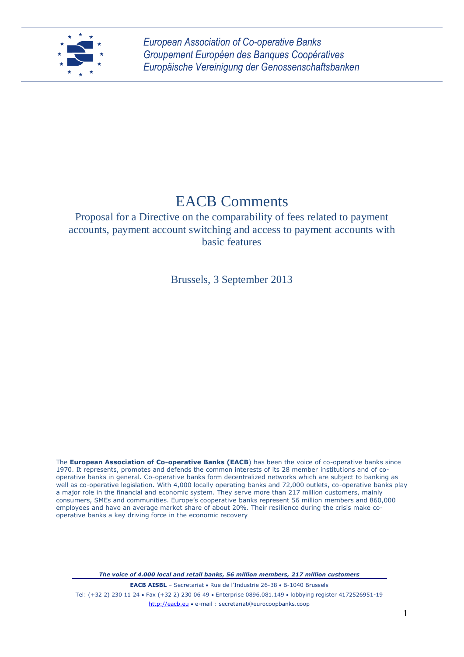

*European Association of Co-operative Banks Groupement Européen des Banques Coopératives Europäische Vereinigung der Genossenschaftsbanken*

# EACB Comments

Proposal for a Directive on the comparability of fees related to payment accounts, payment account switching and access to payment accounts with basic features

Brussels, 3 September 2013

The **European Association of Co-operative Banks (EACB**) has been the voice of co-operative banks since 1970. It represents, promotes and defends the common interests of its 28 member institutions and of cooperative banks in general. Co-operative banks form decentralized networks which are subject to banking as well as co-operative legislation. With 4,000 locally operating banks and 72,000 outlets, co-operative banks play a major role in the financial and economic system. They serve more than 217 million customers, mainly consumers, SMEs and communities. Europe's cooperative banks represent 56 million members and 860,000 employees and have an average market share of about 20%. Their resilience during the crisis make cooperative banks a key driving force in the economic recovery

*The voice of 4.000 local and retail banks, 56 million members, 217 million customers*

**EACB AISBL** – Secretariat • Rue de l'Industrie 26-38 • B-1040 Brussels Tel: (+32 2) 230 11 24 · Fax (+32 2) 230 06 49 · Enterprise 0896.081.149 · lobbying register 4172526951-19 http://eacb.eu e-mail : secretariat@eurocoopbanks.coop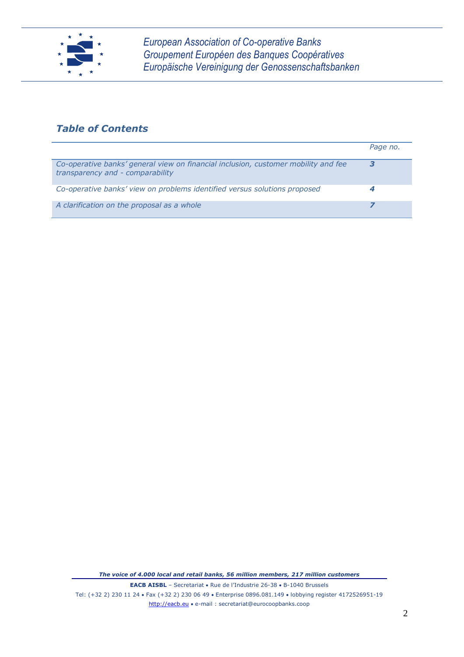

*European Association of Co-operative Banks Groupement Européen des Banques Coopératives Europäische Vereinigung der Genossenschaftsbanken*

# *Table of Contents*

|                                                                                                                        | Page no. |
|------------------------------------------------------------------------------------------------------------------------|----------|
| Co-operative banks' general view on financial inclusion, customer mobility and fee<br>transparency and - comparability |          |
| Co-operative banks' view on problems identified versus solutions proposed                                              |          |
| A clarification on the proposal as a whole                                                                             |          |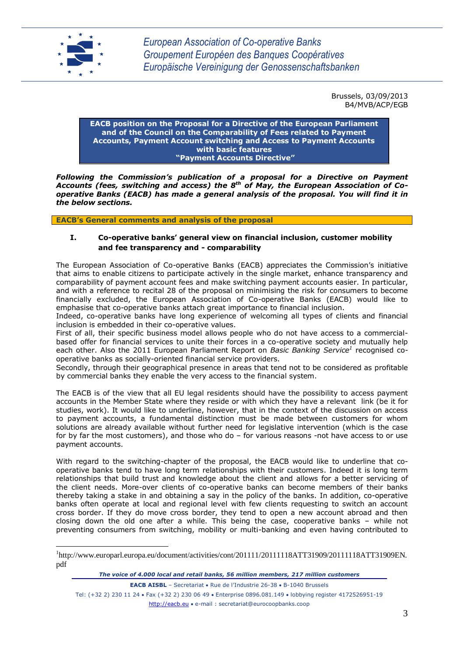

<u>.</u>

Brussels, 03/09/2013 B4/MVB/ACP/EGB

#### **EACB position on the Proposal for a Directive of the European Parliament and of the Council on the Comparability of Fees related to Payment Accounts, Payment Account switching and Access to Payment Accounts with basic features "Payment Accounts Directive"**

*Following the Commission's publication of a proposal for a Directive on Payment Accounts (fees, switching and access) the 8th of May, the European Association of Cooperative Banks (EACB) has made a general analysis of the proposal. You will find it in the below sections.*

**EACB's General comments and analysis of the proposal**

# **I. Co-operative banks' general view on financial inclusion, customer mobility and fee transparency and - comparability**

The European Association of Co-operative Banks (EACB) appreciates the Commission's initiative that aims to enable citizens to participate actively in the single market, enhance transparency and comparability of payment account fees and make switching payment accounts easier. In particular, and with a reference to recital 28 of the proposal on minimising the risk for consumers to become financially excluded, the European Association of Co-operative Banks (EACB) would like to emphasise that co-operative banks attach great importance to financial inclusion.

Indeed, co-operative banks have long experience of welcoming all types of clients and financial inclusion is embedded in their co-operative values.

First of all, their specific business model allows people who do not have access to a commercialbased offer for financial services to unite their forces in a co-operative society and mutually help each other. Also the 2011 European Parliament Report on *Basic Banking Service<sup>1</sup>* recognised cooperative banks as socially-oriented financial service providers.

Secondly, through their geographical presence in areas that tend not to be considered as profitable by commercial banks they enable the very access to the financial system.

The EACB is of the view that all EU legal residents should have the possibility to access payment accounts in the Member State where they reside or with which they have a relevant link (be it for studies, work). It would like to underline, however, that in the context of the discussion on access to payment accounts, a fundamental distinction must be made between customers for whom solutions are already available without further need for legislative intervention (which is the case for by far the most customers), and those who do – for various reasons -not have access to or use payment accounts.

With regard to the switching-chapter of the proposal, the EACB would like to underline that cooperative banks tend to have long term relationships with their customers. Indeed it is long term relationships that build trust and knowledge about the client and allows for a better servicing of the client needs. More-over clients of co-operative banks can become members of their banks thereby taking a stake in and obtaining a say in the policy of the banks. In addition, co-operative banks often operate at local and regional level with few clients requesting to switch an account cross border. If they do move cross border, they tend to open a new account abroad and then closing down the old one after a while. This being the case, cooperative banks – while not preventing consumers from switching, mobility or multi-banking and even having contributed to

<sup>1</sup> http://www.europarl.europa.eu/document/activities/cont/201111/20111118ATT31909/20111118ATT31909EN. pdf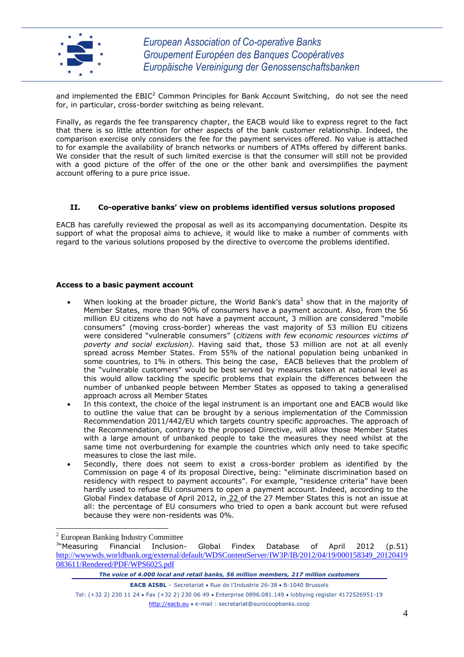

and implemented the  $EBIC<sup>2</sup>$  Common Principles for Bank Account Switching, do not see the need for, in particular, cross-border switching as being relevant.

Finally, as regards the fee transparency chapter, the EACB would like to express regret to the fact that there is so little attention for other aspects of the bank customer relationship. Indeed, the comparison exercise only considers the fee for the payment services offered. No value is attached to for example the availability of branch networks or numbers of ATMs offered by different banks. We consider that the result of such limited exercise is that the consumer will still not be provided with a good picture of the offer of the one or the other bank and oversimplifies the payment account offering to a pure price issue.

### **II. Co-operative banks' view on problems identified versus solutions proposed**

EACB has carefully reviewed the proposal as well as its accompanying documentation. Despite its support of what the proposal aims to achieve, it would like to make a number of comments with regard to the various solutions proposed by the directive to overcome the problems identified.

#### **Access to a basic payment account**

- When looking at the broader picture, the World Bank's data<sup>3</sup> show that in the majority of Member States, more than 90% of consumers have a payment account. Also, from the 56 million EU citizens who do not have a payment account, 3 million are considered "mobile consumers" (moving cross-border) whereas the vast majority of 53 million EU citizens were considered "vulnerable consumers" (*citizens with few economic resources victims of poverty and social exclusion)*. Having said that, those 53 million are not at all evenly spread across Member States. From 55% of the national population being unbanked in some countries, to 1% in others. This being the case, EACB believes that the problem of the "vulnerable customers" would be best served by measures taken at national level as this would allow tackling the specific problems that explain the differences between the number of unbanked people between Member States as opposed to taking a generalised approach across all Member States
- In this context, the choice of the legal instrument is an important one and EACB would like to outline the value that can be brought by a serious implementation of the Commission Recommendation 2011/442/EU which targets country specific approaches. The approach of the Recommendation, contrary to the proposed Directive, will allow those Member States with a large amount of unbanked people to take the measures they need whilst at the same time not overburdening for example the countries which only need to take specific measures to close the last mile.
- Secondly, there does not seem to exist a cross-border problem as identified by the Commission on page 4 of its proposal Directive, being: "eliminate discrimination based on residency with respect to payment accounts". For example, "residence criteria" have been hardly used to refuse EU consumers to open a payment account. Indeed, according to the Global Findex database of April 2012, in 22 of the 27 Member States this is not an issue at all: the percentage of EU consumers who tried to open a bank account but were refused because they were non-residents was 0%.

1

<sup>2</sup> European Banking Industry Committee

<sup>&</sup>lt;sup>3</sup>Measuring Financial Inclusion- Global Findex Database of April 2012 (p.51) [http://wwwwds.worldbank.org/external/default/WDSContentServer/IW3P/IB/2012/04/19/000158349\\_20120419](http://wwwwds.worldbank.org/external/default/WDSContentServer/IW3P/IB/2012/04/19/000158349_20120419083611/Rendered/PDF/WPS6025.pdf) [083611/Rendered/PDF/WPS6025.pdf](http://wwwwds.worldbank.org/external/default/WDSContentServer/IW3P/IB/2012/04/19/000158349_20120419083611/Rendered/PDF/WPS6025.pdf)

*The voice of 4.000 local and retail banks, 56 million members, 217 million customers*

**EACB AISBL** – Secretariat • Rue de l'Industrie 26-38 • B-1040 Brussels

Tel: (+32 2) 230 11 24 Fax (+32 2) 230 06 49 Enterprise 0896.081.149 lobbying register 4172526951-19 http://eacb.eu e-mail : secretariat@eurocoopbanks.coop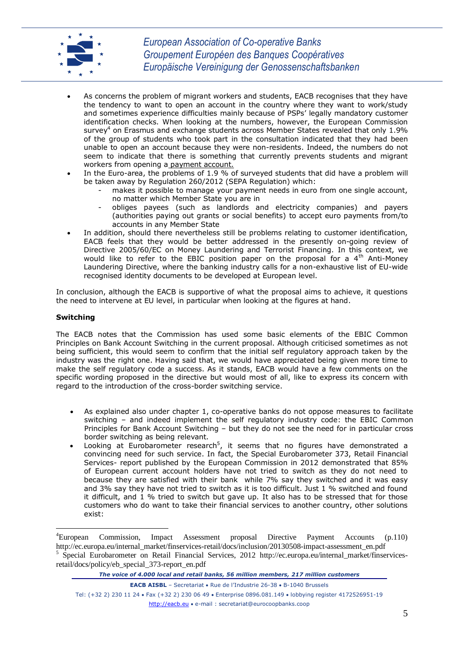

- As concerns the problem of migrant workers and students, EACB recognises that they have the tendency to want to open an account in the country where they want to work/study and sometimes experience difficulties mainly because of PSPs' legally mandatory customer identification checks. When looking at the numbers, however, the European Commission survey $4$  on Erasmus and exchange students across Member States revealed that only 1.9% of the group of students who took part in the consultation indicated that they had been unable to open an account because they were non-residents. Indeed, the numbers do not seem to indicate that there is something that currently prevents students and migrant workers from opening a payment account.
- In the Euro-area, the problems of 1.9 % of surveyed students that did have a problem will be taken away by Regulation 260/2012 (SEPA Regulation) which:
	- makes it possible to manage your payment needs in euro from one single account, no matter which Member State you are in
	- obliges payees (such as landlords and electricity companies) and payers (authorities paying out grants or social benefits) to accept euro payments from/to accounts in any Member State
- In addition, should there nevertheless still be problems relating to customer identification, EACB feels that they would be better addressed in the presently on-going review of Directive 2005/60/EC on Money Laundering and Terrorist Financing. In this context, we would like to refer to the EBIC position paper on the proposal for a  $4<sup>th</sup>$  Anti-Money Laundering Directive, where the banking industry calls for a non-exhaustive list of EU-wide recognised identity documents to be developed at European level.

In conclusion, although the EACB is supportive of what the proposal aims to achieve, it questions the need to intervene at EU level, in particular when looking at the figures at hand.

### **Switching**

1

The EACB notes that the Commission has used some basic elements of the EBIC Common Principles on Bank Account Switching in the current proposal. Although criticised sometimes as not being sufficient, this would seem to confirm that the initial self regulatory approach taken by the industry was the right one. Having said that, we would have appreciated being given more time to make the self regulatory code a success. As it stands, EACB would have a few comments on the specific wording proposed in the directive but would most of all, like to express its concern with regard to the introduction of the cross-border switching service.

- As explained also under chapter 1, co-operative banks do not oppose measures to facilitate switching – and indeed implement the self regulatory industry code: the EBIC Common Principles for Bank Account Switching – but they do not see the need for in particular cross border switching as being relevant.
- Looking at Eurobarometer research<sup>5</sup>, it seems that no figures have demonstrated a convincing need for such service. In fact, the Special Eurobarometer 373, Retail Financial Services- report published by the European Commission in 2012 demonstrated that 85% of European current account holders have not tried to switch as they do not need to because they are satisfied with their bank while 7% say they switched and it was easy and 3% say they have not tried to switch as it is too difficult. Just 1 % switched and found it difficult, and 1 % tried to switch but gave up. It also has to be stressed that for those customers who do want to take their financial services to another country, other solutions exist:

<sup>4</sup>European Commission, Impact Assessment proposal Directive Payment Accounts (p.110) http://ec.europa.eu/internal\_market/finservices-retail/docs/inclusion/20130508-impact-assessment\_en.pdf 5 Special Eurobarometer on Retail Financial Services, 2012 http://ec.europa.eu/internal\_market/finservicesretail/docs/policy/eb\_special\_373-report\_en.pdf

*The voice of 4.000 local and retail banks, 56 million members, 217 million customers*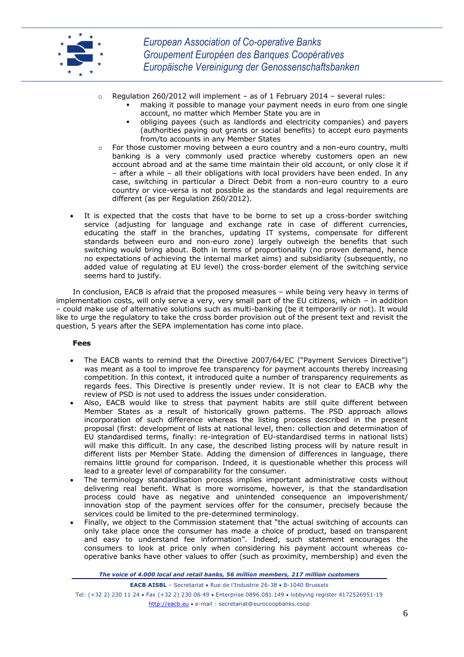

- $\circ$  Regulation 260/2012 will implement as of 1 February 2014 several rules:
	- making it possible to manage your payment needs in euro from one single account, no matter which Member State you are in
	- obliging payees (such as landlords and electricity companies) and payers (authorities paying out grants or social benefits) to accept euro payments from/to accounts in any Member States
- For those customer moving between a euro country and a non-euro country, multi banking is a very commonly used practice whereby customers open an new account abroad and at the same time maintain their old account, or only close it if – after a while – all their obligations with local providers have been ended. In any case, switching in particular a Direct Debit from a non-euro country to a euro country or vice-versa is not possible as the standards and legal requirements are different (as per Regulation 260/2012).
- It is expected that the costs that have to be borne to set up a cross-border switching service (adjusting for language and exchange rate in case of different currencies, educating the staff in the branches, updating IT systems, compensate for different standards between euro and non-euro zone) largely outweigh the benefits that such switching would bring about. Both in terms of proportionality (no proven demand, hence no expectations of achieving the internal market aims) and subsidiarity (subsequently, no added value of regulating at EU level) the cross-border element of the switching service seems hard to justify.

In conclusion, EACB is afraid that the proposed measures – while being very heavy in terms of implementation costs, will only serve a very, very small part of the EU citizens, which – in addition – could make use of alternative solutions such as multi-banking (be it temporarily or not). It would like to urge the regulatory to take the cross border provision out of the present text and revisit the question, 5 years after the SEPA implementation has come into place.

#### **Fees**

- The EACB wants to remind that the Directive 2007/64/EC ("Payment Services Directive") was meant as a tool to improve fee transparency for payment accounts thereby increasing competition. In this context, it introduced quite a number of transparency requirements as regards fees. This Directive is presently under review. It is not clear to EACB why the review of PSD is not used to address the issues under consideration.
- Also, EACB would like to stress that payment habits are still quite different between Member States as a result of historically grown patterns. The PSD approach allows incorporation of such difference whereas the listing process described in the present proposal (first: development of lists at national level, then: collection and determination of EU standardised terms, finally: re-integration of EU-standardised terms in national lists) will make this difficult. In any case, the described listing process will by nature result in different lists per Member State. Adding the dimension of differences in language, there remains little ground for comparison. Indeed, it is questionable whether this process will lead to a greater level of comparability for the consumer.
- The terminology standardisation process implies important administrative costs without delivering real benefit. What is more worrisome, however, is that the standardisation process could have as negative and unintended consequence an impoverishment/ innovation stop of the payment services offer for the consumer, precisely because the services could be limited to the pre-determined terminology.
- Finally, we object to the Commission statement that "the actual switching of accounts can only take place once the consumer has made a choice of product, based on transparent and easy to understand fee information". Indeed, such statement encourages the consumers to look at price only when considering his payment account whereas cooperative banks have other values to offer (such as proximity, membership) and even the